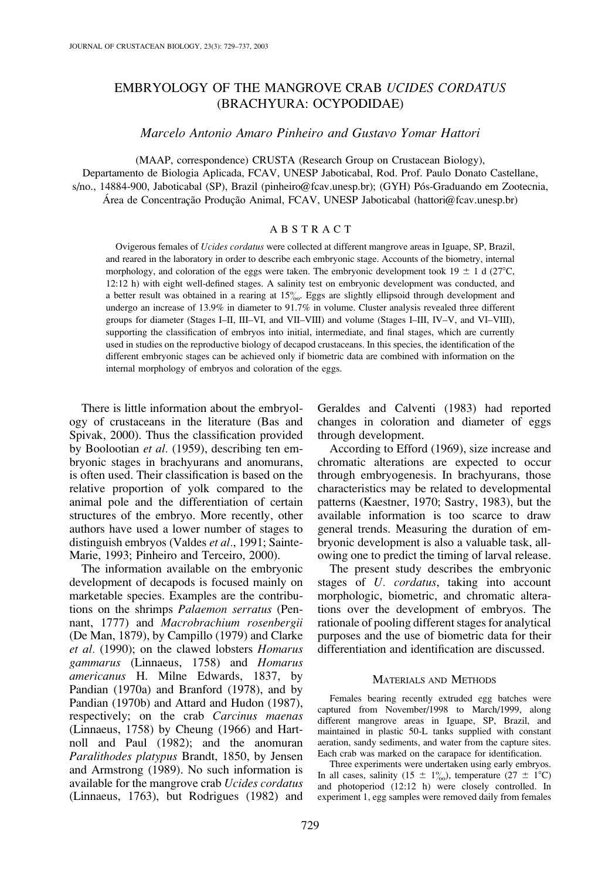# EMBRYOLOGY OF THE MANGROVE CRAB UCIDES CORDATUS (BRACHYURA: OCYPODIDAE)

Marcelo Antonio Amaro Pinheiro and Gustavo Yomar Hattori

(MAAP, correspondence) CRUSTA (Research Group on Crustacean Biology), Departamento de Biologia Aplicada, FCAV, UNESP Jaboticabal, Rod. Prof. Paulo Donato Castellane, s/no., 14884-900, Jaboticabal (SP), Brazil (pinheiro@fcav.unesp.br); (GYH) Pós-Graduando em Zootecnia, Área de Concentração Produção Animal, FCAV, UNESP Jaboticabal (hattori@fcav.unesp.br)

# ABSTRACT

Ovigerous females of Ucides cordatus were collected at different mangrove areas in Iguape, SP, Brazil, and reared in the laboratory in order to describe each embryonic stage. Accounts of the biometry, internal morphology, and coloration of the eggs were taken. The embryonic development took  $19 \pm 1$  d (27°C, 12:12 h) with eight well-defined stages. A salinity test on embryonic development was conducted, and a better result was obtained in a rearing at  $15\%$ . Eggs are slightly ellipsoid through development and undergo an increase of 13.9% in diameter to 91.7% in volume. Cluster analysis revealed three different groups for diameter (Stages I–II, III–VI, and VII–VIII) and volume (Stages I–III, IV–V, and VI–VIII), supporting the classification of embryos into initial, intermediate, and final stages, which are currently used in studies on the reproductive biology of decapod crustaceans. In this species, the identification of the different embryonic stages can be achieved only if biometric data are combined with information on the internal morphology of embryos and coloration of the eggs.

There is little information about the embryology of crustaceans in the literature (Bas and Spivak, 2000). Thus the classification provided by Boolootian et al. (1959), describing ten embryonic stages in brachyurans and anomurans, is often used. Their classification is based on the relative proportion of yolk compared to the animal pole and the differentiation of certain structures of the embryo. More recently, other authors have used a lower number of stages to distinguish embryos (Valdes et al., 1991; Sainte-Marie, 1993; Pinheiro and Terceiro, 2000).

The information available on the embryonic development of decapods is focused mainly on marketable species. Examples are the contributions on the shrimps Palaemon serratus (Pennant, 1777) and Macrobrachium rosenbergii (De Man, 1879), by Campillo (1979) and Clarke et al. (1990); on the clawed lobsters Homarus gammarus (Linnaeus, 1758) and Homarus americanus H. Milne Edwards, 1837, by Pandian (1970a) and Branford (1978), and by Pandian (1970b) and Attard and Hudon (1987), respectively; on the crab Carcinus maenas (Linnaeus, 1758) by Cheung (1966) and Hartnoll and Paul (1982); and the anomuran Paralithodes platypus Brandt, 1850, by Jensen and Armstrong (1989). No such information is available for the mangrove crab Ucides cordatus (Linnaeus, 1763), but Rodrigues (1982) and Geraldes and Calventi (1983) had reported changes in coloration and diameter of eggs through development.

According to Efford (1969), size increase and chromatic alterations are expected to occur through embryogenesis. In brachyurans, those characteristics may be related to developmental patterns (Kaestner, 1970; Sastry, 1983), but the available information is too scarce to draw general trends. Measuring the duration of embryonic development is also a valuable task, allowing one to predict the timing of larval release.

The present study describes the embryonic stages of U. *cordatus*, taking into account morphologic, biometric, and chromatic alterations over the development of embryos. The rationale of pooling different stages for analytical purposes and the use of biometric data for their differentiation and identification are discussed.

# MATERIALS AND METHODS

Females bearing recently extruded egg batches were captured from November/1998 to March/1999, along different mangrove areas in Iguape, SP, Brazil, and maintained in plastic 50-L tanks supplied with constant aeration, sandy sediments, and water from the capture sites. Each crab was marked on the carapace for identification.

Three experiments were undertaken using early embryos. In all cases, salinity (15  $\pm$  1\%), temperature (27  $\pm$  1\cap C) and photoperiod (12:12 h) were closely controlled. In experiment 1, egg samples were removed daily from females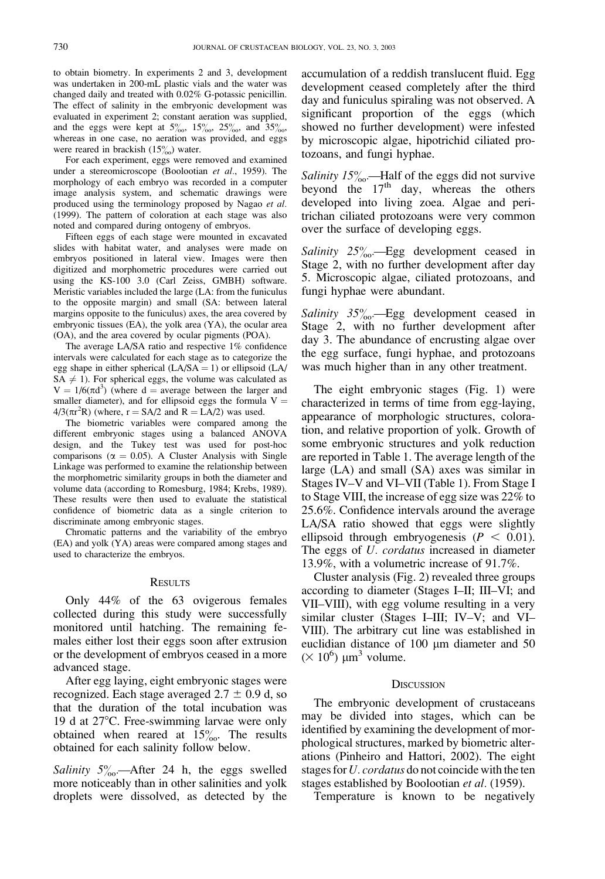to obtain biometry. In experiments 2 and 3, development was undertaken in 200-mL plastic vials and the water was changed daily and treated with 0.02% G-potassic penicillin. The effect of salinity in the embryonic development was evaluated in experiment 2; constant aeration was supplied, and the eggs were kept at  $5\%_{00}$ ,  $15\%_{00}$ ,  $25\%_{00}$ , and  $35\%_{00}$ , whereas in one case, no aeration was provided, and eggs were reared in brackish  $(15\%)$  water.

For each experiment, eggs were removed and examined under a stereomicroscope (Boolootian et al., 1959). The morphology of each embryo was recorded in a computer image analysis system, and schematic drawings were produced using the terminology proposed by Nagao et al. (1999). The pattern of coloration at each stage was also noted and compared during ontogeny of embryos.

Fifteen eggs of each stage were mounted in excavated slides with habitat water, and analyses were made on embryos positioned in lateral view. Images were then digitized and morphometric procedures were carried out using the KS-100 3.0 (Carl Zeiss, GMBH) software. Meristic variables included the large (LA: from the funiculus to the opposite margin) and small (SA: between lateral margins opposite to the funiculus) axes, the area covered by embryonic tissues (EA), the yolk area (YA), the ocular area (OA), and the area covered by ocular pigments (POA).

The average LA/SA ratio and respective 1% confidence intervals were calculated for each stage as to categorize the egg shape in either spherical  $(LA/SA = 1)$  or ellipsoid  $(LA/A)$  $SA \neq 1$ ). For spherical eggs, the volume was calculated as  $V = 1/6(\pi d^3)$  (where d = average between the larger and smaller diameter), and for ellipsoid eggs the formula  $V =$  $4/3(\pi r^2 R)$  (where, r = SA/2 and R = LA/2) was used.

The biometric variables were compared among the different embryonic stages using a balanced ANOVA design, and the Tukey test was used for post-hoc comparisons ( $\alpha = 0.05$ ). A Cluster Analysis with Single Linkage was performed to examine the relationship between the morphometric similarity groups in both the diameter and volume data (according to Romesburg, 1984; Krebs, 1989). These results were then used to evaluate the statistical confidence of biometric data as a single criterion to discriminate among embryonic stages.

Chromatic patterns and the variability of the embryo (EA) and yolk (YA) areas were compared among stages and used to characterize the embryos.

#### **RESULTS**

Only 44% of the 63 ovigerous females collected during this study were successfully monitored until hatching. The remaining females either lost their eggs soon after extrusion or the development of embryos ceased in a more advanced stage.

After egg laying, eight embryonic stages were recognized. Each stage averaged  $2.7 \pm 0.9$  d, so that the duration of the total incubation was 19 d at 27°C. Free-swimming larvae were only obtained when reared at  $15\%$ . The results obtained for each salinity follow below.

Salinity  $5\%$ . After 24 h, the eggs swelled more noticeably than in other salinities and yolk droplets were dissolved, as detected by the

accumulation of a reddish translucent fluid. Egg development ceased completely after the third day and funiculus spiraling was not observed. A significant proportion of the eggs (which showed no further development) were infested by microscopic algae, hipotrichid ciliated protozoans, and fungi hyphae.

Salinity  $15\%$ . -Half of the eggs did not survive beyond the  $17<sup>th</sup>$  day, whereas the others developed into living zoea. Algae and peritrichan ciliated protozoans were very common over the surface of developing eggs.

Salinity  $25\%$ . Egg development ceased in Stage 2, with no further development after day 5. Microscopic algae, ciliated protozoans, and fungi hyphae were abundant.

Salinity  $35\%$ . Egg development ceased in Stage 2, with no further development after day 3. The abundance of encrusting algae over the egg surface, fungi hyphae, and protozoans was much higher than in any other treatment.

The eight embryonic stages (Fig. 1) were characterized in terms of time from egg-laying, appearance of morphologic structures, coloration, and relative proportion of yolk. Growth of some embryonic structures and yolk reduction are reported in Table 1. The average length of the large (LA) and small (SA) axes was similar in Stages IV–V and VI–VII (Table 1). From Stage I to Stage VIII, the increase of egg size was 22% to 25.6%. Confidence intervals around the average LA/SA ratio showed that eggs were slightly ellipsoid through embryogenesis ( $P < 0.01$ ). The eggs of U. cordatus increased in diameter 13.9%, with a volumetric increase of 91.7%.

Cluster analysis (Fig. 2) revealed three groups according to diameter (Stages I–II; III–VI; and VII–VIII), with egg volume resulting in a very similar cluster (Stages I–III; IV–V; and VI– VIII). The arbitrary cut line was established in euclidian distance of  $100 \mu m$  diameter and  $50 \mu m$  $(\times 10^6)$  µm<sup>3</sup> volume.

### **DISCUSSION**

The embryonic development of crustaceans may be divided into stages, which can be identified by examining the development of morphological structures, marked by biometric alterations (Pinheiro and Hattori, 2002). The eight stages for U. cordatus do not coincide with the ten stages established by Boolootian et al. (1959).

Temperature is known to be negatively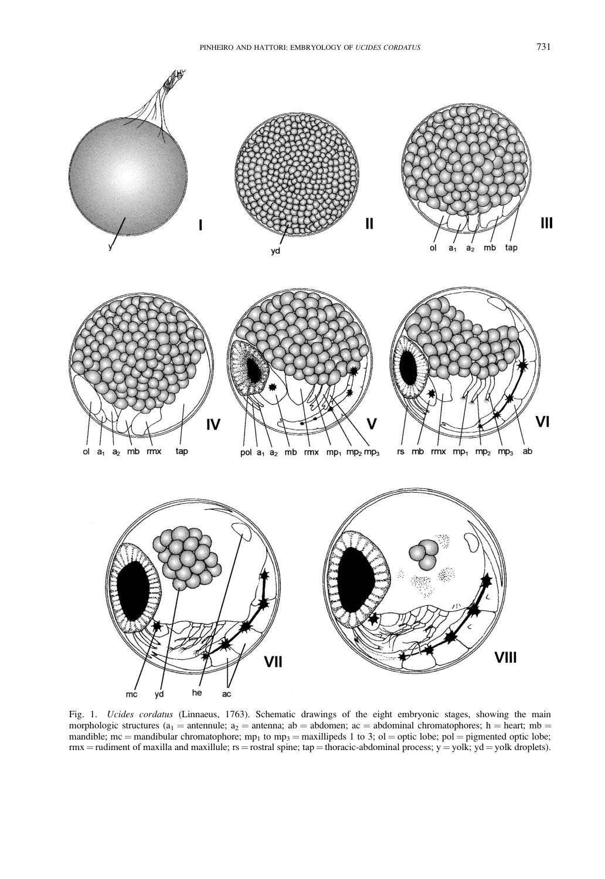

Fig. 1. Ucides cordatus (Linnaeus, 1763). Schematic drawings of the eight embryonic stages, showing the main morphologic structures ( $a_1$  = antennule;  $a_2$  = antenna; ab = abdomen; ac = abdominal chromatophores; h = heart; mb = mandible; mc = mandibular chromatophore; mp<sub>1</sub> to mp<sub>3</sub> = maxillipeds 1 to 3; ol = optic lobe; pol = pigmented optic lobe;  $rmx = rudiment$  of maxilla and maxillule;  $rs = rostral$  spine; tap = thoracic-abdominal process;  $y = yolk$ ;  $yd = yolk$  droplets).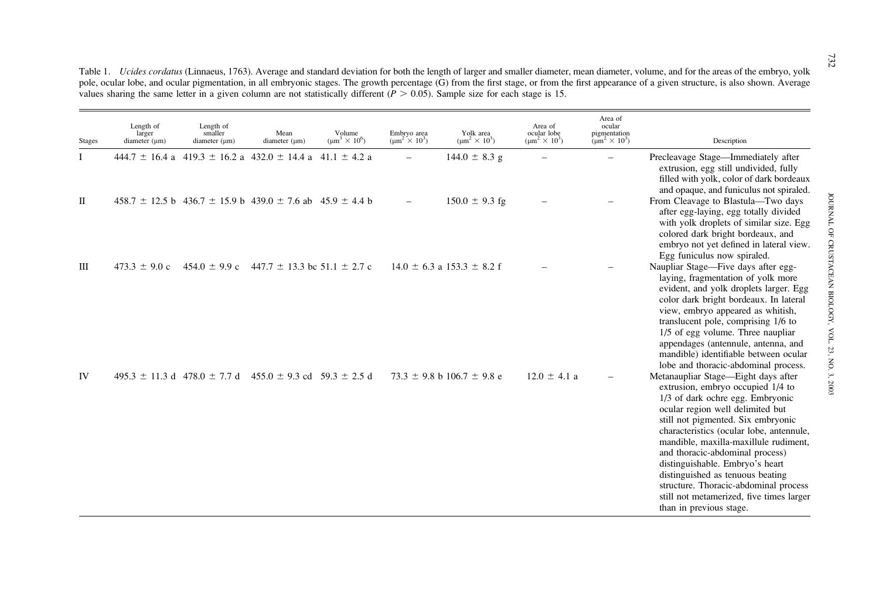| <b>Stages</b> | Length of<br>larger<br>diameter $(\mu m)$ | Length of<br>smaller<br>diameter $(\mu m)$ | Mean<br>diameter $(\mu m)$                                                | Volume<br>$(\mu m^3 \times 10^6)$ | Embryo area<br>$\text{(µm}^2 \times 10^3)$ | Yolk area<br>$(\mu m^2 \times 10^3)$ | Area of<br>ocular lobe<br>$(\mu m^2 \times 10^3)$ | Area of<br>ocular<br>pigmentation<br>$(\mu m^2 \times 10^3)$ | Description                                                                                                                                                                                                                                                                                                                                                                                                                                                                                           |
|---------------|-------------------------------------------|--------------------------------------------|---------------------------------------------------------------------------|-----------------------------------|--------------------------------------------|--------------------------------------|---------------------------------------------------|--------------------------------------------------------------|-------------------------------------------------------------------------------------------------------------------------------------------------------------------------------------------------------------------------------------------------------------------------------------------------------------------------------------------------------------------------------------------------------------------------------------------------------------------------------------------------------|
| Ι             |                                           |                                            | $444.7 \pm 16.4$ a $419.3 \pm 16.2$ a $432.0 \pm 14.4$ a $41.1 \pm 4.2$ a |                                   |                                            | $144.0 \pm 8.3$ g                    |                                                   |                                                              | Precleavage Stage—Immediately after<br>extrusion, egg still undivided, fully<br>filled with yolk, color of dark bordeaux<br>and opaque, and funiculus not spiraled.                                                                                                                                                                                                                                                                                                                                   |
| П             |                                           |                                            | $458.7 \pm 12.5$ b $436.7 \pm 15.9$ b $439.0 \pm 7.6$ ab $45.9 \pm 4.4$ b |                                   |                                            | $150.0 \pm 9.3$ fg                   |                                                   |                                                              | From Cleavage to Blastula—Two days<br>after egg-laying, egg totally divided<br>with yolk droplets of similar size. Egg<br>colored dark bright bordeaux, and<br>embryo not yet defined in lateral view.<br>Egg funiculus now spiraled.                                                                                                                                                                                                                                                                 |
| Ш             | $473.3 \pm 9.0$ c                         | $454.0 \pm 9.9$ c                          | 447.7 $\pm$ 13.3 bc 51.1 $\pm$ 2.7 c                                      |                                   |                                            | $14.0 \pm 6.3$ a $153.3 \pm 8.2$ f   |                                                   |                                                              | Naupliar Stage—Five days after egg-<br>laying, fragmentation of yolk more<br>evident, and yolk droplets larger. Egg<br>color dark bright bordeaux. In lateral<br>view, embryo appeared as whitish,<br>translucent pole, comprising 1/6 to<br>1/5 of egg volume. Three naupliar<br>appendages (antennule, antenna, and<br>mandible) identifiable between ocular<br>lobe and thoracic-abdominal process.                                                                                                |
| IV            |                                           | $495.3 \pm 11.3$ d $478.0 \pm 7.7$ d       | $455.0 \pm 9.3$ cd $59.3 \pm 2.5$ d                                       |                                   |                                            | $73.3 \pm 9.8$ b 106.7 $\pm$ 9.8 e   | $12.0 \pm 4.1$ a                                  |                                                              | Metanaupliar Stage—Eight days after<br>extrusion, embryo occupied 1/4 to<br>1/3 of dark ochre egg. Embryonic<br>ocular region well delimited but<br>still not pigmented. Six embryonic<br>characteristics (ocular lobe, antennule,<br>mandible, maxilla-maxillule rudiment,<br>and thoracic-abdominal process)<br>distinguishable. Embryo's heart<br>distinguished as tenuous beating<br>structure. Thoracic-abdominal process<br>still not metamerized, five times larger<br>than in previous stage. |

Table 1. *Ucides cordatus* (Linnaeus, 1763). Average and standard deviation for both the length of larger and smaller diameter, mean diameter, volume, and for the areas of the embryo, yolk pole, ocular lobe, and ocular pigmentation, in all embryonic stages. The growth percentage (G) from the first stage, or from the first appearance of <sup>a</sup> given structure, is also shown. Average values sharing the same letter in a given column are not statistically different  $(P > 0.05)$ . Sample size for each stage is 15.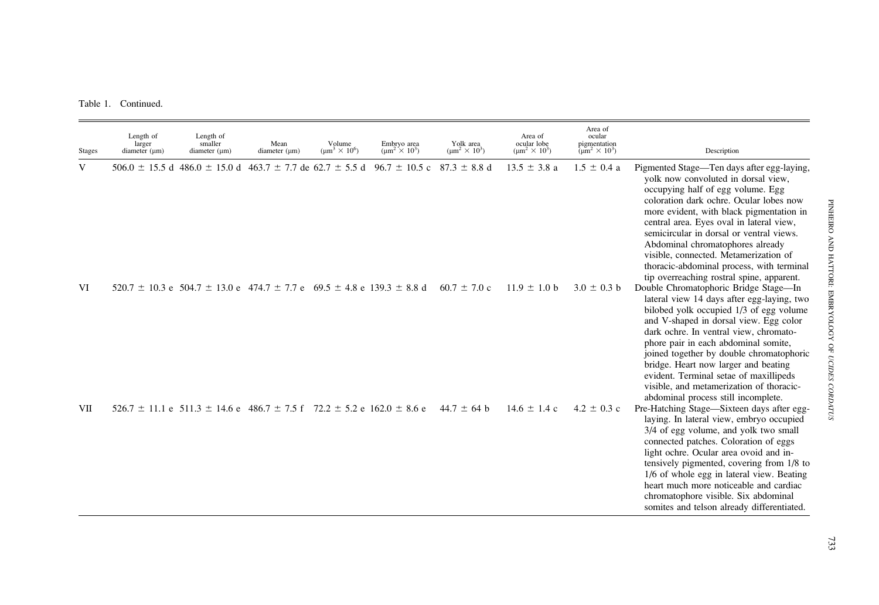Table 1. Continued.

| <b>Stages</b> | Length of<br>larger<br>diameter $(\mu m)$ | Length of<br>smaller<br>diameter $(\mu m)$                                                                   | Mean<br>diameter $(\mu m)$ | Volume<br>$\text{(um}^3 \times 10^6)$ | Embryo area<br>$(\mu m^2 \times 10^3)$ | Yolk area<br>$(\mu m^2 \times 10^3)$ | Area of<br>ocular lobe<br>$(\mu m^2 \times 10^3)$ | Area of<br>ocular<br>pigmentation<br>$(\mu m^2 \times 10^3)$ | Description                                                                                                                                                                                                                                                                                                                                                                                                                                                                  |
|---------------|-------------------------------------------|--------------------------------------------------------------------------------------------------------------|----------------------------|---------------------------------------|----------------------------------------|--------------------------------------|---------------------------------------------------|--------------------------------------------------------------|------------------------------------------------------------------------------------------------------------------------------------------------------------------------------------------------------------------------------------------------------------------------------------------------------------------------------------------------------------------------------------------------------------------------------------------------------------------------------|
| V             |                                           | $506.0 \pm 15.5$ d 486.0 $\pm$ 15.0 d 463.7 $\pm$ 7.7 de 62.7 $\pm$ 5.5 d 96.7 $\pm$ 10.5 c 87.3 $\pm$ 8.8 d |                            |                                       |                                        |                                      | $13.5 \pm 3.8$ a                                  | $1.5 \pm 0.4$ a                                              | Pigmented Stage—Ten days after egg-laying,<br>yolk now convoluted in dorsal view,<br>occupying half of egg volume. Egg<br>coloration dark ochre. Ocular lobes now<br>more evident, with black pigmentation in<br>central area. Eyes oval in lateral view,<br>semicircular in dorsal or ventral views.<br>Abdominal chromatophores already<br>visible, connected. Metamerization of<br>thoracic-abdominal process, with terminal<br>tip overreaching rostral spine, apparent. |
| VI            |                                           | $520.7 \pm 10.3$ e $504.7 \pm 13.0$ e $474.7 \pm 7.7$ e $69.5 \pm 4.8$ e $139.3 \pm 8.8$ d                   |                            |                                       |                                        | $60.7 \pm 7.0$ c                     | $11.9 \pm 1.0$ b                                  | $3.0 \pm 0.3$ b                                              | Double Chromatophoric Bridge Stage-In<br>lateral view 14 days after egg-laying, two<br>bilobed yolk occupied 1/3 of egg volume<br>and V-shaped in dorsal view. Egg color<br>dark ochre. In ventral view, chromato-<br>phore pair in each abdominal somite,<br>joined together by double chromatophoric<br>bridge. Heart now larger and beating<br>evident. Terminal setae of maxillipeds<br>visible, and metamerization of thoracic-<br>abdominal process still incomplete.  |
| VII           |                                           | $526.7 \pm 11.1$ e $511.3 \pm 14.6$ e $486.7 \pm 7.5$ f $72.2 \pm 5.2$ e $162.0 \pm 8.6$ e                   |                            |                                       |                                        | $44.7 \pm 64$ b                      | $14.6 \pm 1.4$ c                                  | $4.2 \pm 0.3$ c                                              | Pre-Hatching Stage—Sixteen days after egg-<br>laying. In lateral view, embryo occupied<br>3/4 of egg volume, and yolk two small<br>connected patches. Coloration of eggs<br>light ochre. Ocular area ovoid and in-<br>tensively pigmented, covering from 1/8 to<br>1/6 of whole egg in lateral view. Beating<br>heart much more noticeable and cardiac<br>chromatophore visible. Six abdominal<br>somites and telson already differentiated.                                 |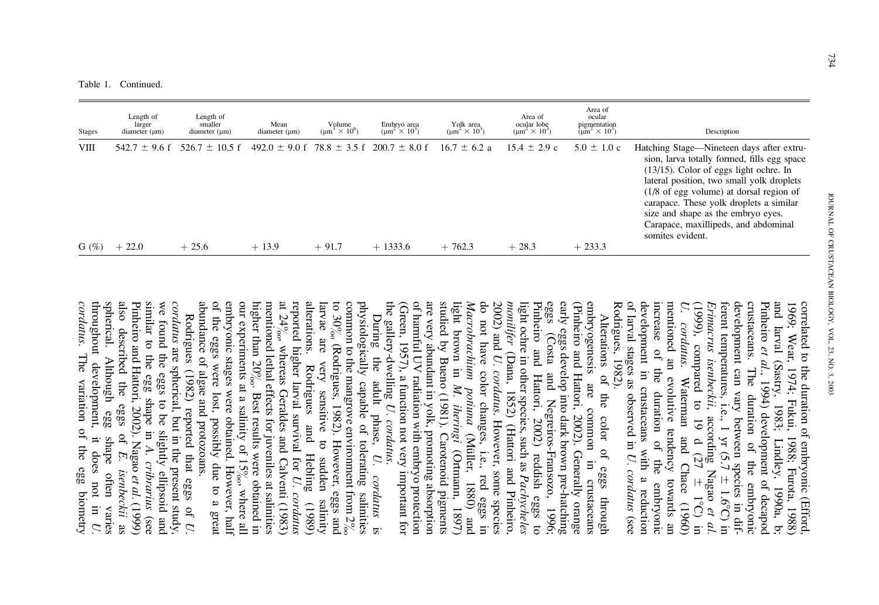| <b>Stages</b>  | Length of<br>larger<br>diameter $(\mu m)$ | Length of<br>smaller<br>diameter $(\mu m)$ | Mean<br>diameter $(\mu m)$                                      | Volume<br>$\text{m}^3 \times 10^6$ | Embryo area<br>$\text{m}^2 \times 10^3$ | Yolk area<br>$(\mu m^2 \times 10^3)$ | Area of<br>ocular lobe<br>$\text{m}^2 \times 10^3$ | Area of<br>ocular<br>pigmentation<br>( $\mu$ m <sup>2</sup> × 10 <sup>3</sup> ) | Description                                                                                                                                                                                                                                                                                                                                                                          |
|----------------|-------------------------------------------|--------------------------------------------|-----------------------------------------------------------------|------------------------------------|-----------------------------------------|--------------------------------------|----------------------------------------------------|---------------------------------------------------------------------------------|--------------------------------------------------------------------------------------------------------------------------------------------------------------------------------------------------------------------------------------------------------------------------------------------------------------------------------------------------------------------------------------|
| VШ<br>G $(\%)$ | $542.7 \pm 9.6$ f<br>$+22.0$              | $526.7 \pm 10.5$ f<br>$+25.6$              | $492.0 \pm 9.0$ f 78.8 $\pm$ 3.5 f 200.7 $\pm$ 8.0 f<br>$+13.9$ | $+91.7$                            | $+1333.6$                               | $16.7 \pm 6.2$ a<br>$+762.3$         | $15.4 \pm 2.9$ c<br>$+28.3$                        | $5.0 \pm 1.0$ c<br>$+233.3$                                                     | Hatching Stage—Nineteen days after extru-<br>sion, larva totally formed, fills egg space<br>$(13/15)$ . Color of eggs light ochre. In<br>lateral position, two small yolk droplets<br>$(1/8 \text{ of egg volume})$ at dorsal region of<br>carapace. These yolk droplets a similar<br>size and shape as the embryo eyes.<br>Carapace, maxillipeds, and abdominal<br>somites evident. |

Rodrigues, 1982). development in crustaceans with a reduction mentioned an evolutive tendency towards an  $\mathcal{L}$ development can vary between species<br>ferent temperatures, i.e., 1 yr (5.7 ± 1.4<br>*Erimacrus isenbeckii*, according Nagao crustaceans. and larval (Sastry, 1983; Lindley, 1990a, b 1969; Wear, 1974; Fukui, 1988; Furota, 1988 correlated to the duration of embryonic (Efford Rodrigues, 1982). of larval stages as observed in development in crustaceans with a reduction increase of the duration of the embryonic increase of mentioned an evolutive tendency towards an U. cordatus. Waterman and Chace (1960) (1999), compared to 19 d (27 Erimacrus isenbeckiiferent temperatures, i.e., 1 yr (5.7 crustaceans. The duration of the embryonic development can vary between species in dif-<br>development can vary between species in dif-<br>ferent temperatures, i.e., 1 yr (5.7 ± 1.6°C) in development can vary between species in dif-Pinheiro and larval (Sastry, 1983; Lindley, 1990a, b; 1969; Wear, 1974; Fukui, 1988; Furota, 1988) correlated to the duration of embryonic (Efford, cordatus. et al. $\frac{1}{\sqrt{2}}$ The , 1994) development of decapod Waterman and Chace (1960) duration duration of the , according Nagao of the U. cordatus  $\pm$  1.6°C) in  $|+$ embryonic embryonic 1 8C) in in difet al. (see

studied by Bueno (1981). Carotenoid pigments eggs of harmful UV radiation with embryo protection are very abundant in yolk, promoting absorption light brown in M. iheringi (Ortmann, Macrobrachium potiuna do not have color changes, i.e., red eggs in Pinheiro and Hattori, 2002) reddish eggs to<br>light ochre in other species, such as *Pachycheles* early eggs develop into dark brown pre-hatching (Pinheiro and Hattori, 2002). Generally orange embryogenesis the gallery-dwelling (Green, 1957), a function not very important for of harmful UV radiation with embryo protection are very abundant in yolk, promoting absorption studied by Bueno (1981). Carotenoid pigments light brown in Macrobrachium potiuna do not have color changes, i.e., red eggs in monilifer 2002) and light ochre in other species, such as Pinheiro and Hattori, 2002) reddish eggs to eggs (Costa and Negreiros-Fransozo, 1996; early eggs develop into dark brown pre-hatching (Pinheiro and Hattori, 2002). Generally orange embryogenesis are common in crustaceans Alterations of Alterations of the color of eggs through (Costa (Dana, 1852) (Hattori and Pinheiro, U. cordatuspue are common the color of eggs through Negreiros-Fransozo, U. cordatus . . However, some species (Müller, (Mu¨ller, 1880) and (Ortmann, 1897) in crustaceans 1880)  $(1897)$ 1996; pue

of the eggs were lost, possibly due to a great embryonic stages were obtained. However, half larvae abundance of algae and protozoans. mentioned lethal effects for juveniles at salinities alterations. Rodrigues and Hebling  $(1989)$ <br>reported higher larval survival for  $U$ .  $covdatus$ alterations. physiologically capable of tolerating salinities abundance of algae and protozoans. of the eggs were lost, possibly due to a great embryonic stages were obtained. However, half our experiments at a salinity of 15 higher than 20 mentioned lethal effects for juveniles at salinities mentioned lethal  $20\%$ . Best results were obtained in at 24 reported higher larval survival for alterations. Rodrigues and Hebling (1989) larvae are very sensitive to sudden salinity to 30 common to the mangrove environment from 2 physiologically capable of tolerating salinities physiologically capable of tolerating salinities  $\mathop{\mathrm{Duning}}$ During the adult phase, ें ेर are , whereas Geraldes and Calventi (1983) (Rodrigues, 1982). However, eggs and the e very sensitive<br>
. Rodrigues and adult phase, to sudden salinity  $U$ . U. cordatus cordatus ेर , where all is

throughout development,<br>cordatus. The variation spherical. Although egg also described the we found the eggs to be slightly ellipsoid and similar to the egg shape in  $A$ . cribrarius (see cordatus are spherical, but in the present study, throughout development, it does not in spherical. Although egg shape often varies also described the eggs of Pinheiro and Hattori, 2002). Nagao similar to the egg shape in we found the eggs to be slightly ellipsoid and Rodrigues (1982) reported that eggs of U. Rodrigues (1982) reported that eggs of . The variation of the egg biometry are spherical, but in the present study, The variation of the egg biometry eggs of  $E$ . shape often it does not in  $U$ . A. cribrarius E. isenbeckii isenbeckii as et al. (1999) varies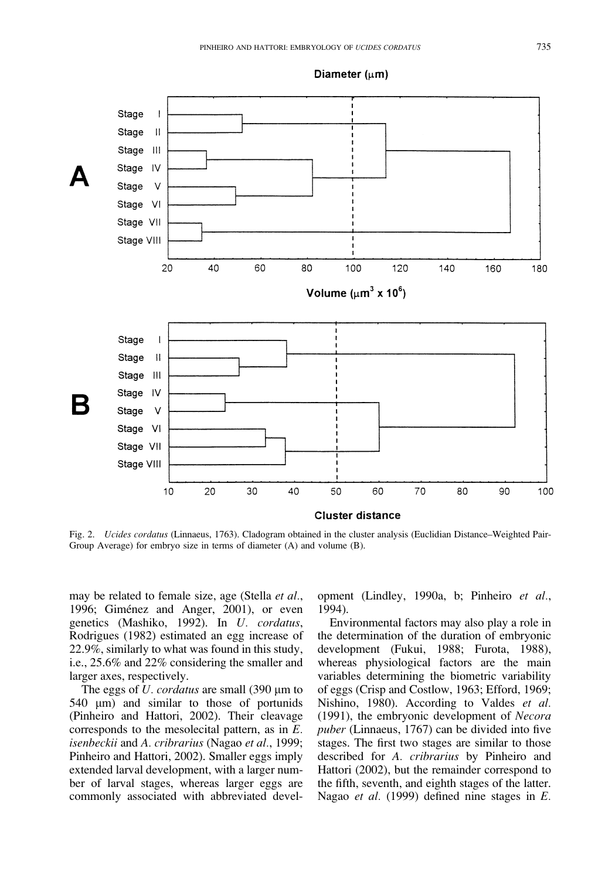

Fig. 2. Ucides cordatus (Linnaeus, 1763). Cladogram obtained in the cluster analysis (Euclidian Distance–Weighted Pair-Group Average) for embryo size in terms of diameter (A) and volume (B).

may be related to female size, age (Stella et al., 1996; Giménez and Anger, 2001), or even genetics (Mashiko, 1992). In U. cordatus, Rodrigues (1982) estimated an egg increase of 22.9%, similarly to what was found in this study, i.e., 25.6% and 22% considering the smaller and larger axes, respectively.

The eggs of  $U$ . *cordatus* are small (390  $\mu$ m to 540  $\mu$ m) and similar to those of portunids (Pinheiro and Hattori, 2002). Their cleavage corresponds to the mesolecital pattern, as in E. isenbeckii and A. cribrarius (Nagao et al., 1999; Pinheiro and Hattori, 2002). Smaller eggs imply extended larval development, with a larger number of larval stages, whereas larger eggs are commonly associated with abbreviated development (Lindley, 1990a, b; Pinheiro et al., 1994).

Environmental factors may also play a role in the determination of the duration of embryonic development (Fukui, 1988; Furota, 1988), whereas physiological factors are the main variables determining the biometric variability of eggs (Crisp and Costlow, 1963; Efford, 1969; Nishino, 1980). According to Valdes et al. (1991), the embryonic development of Necora puber (Linnaeus, 1767) can be divided into five stages. The first two stages are similar to those described for A. cribrarius by Pinheiro and Hattori (2002), but the remainder correspond to the fifth, seventh, and eighth stages of the latter. Nagao et al. (1999) defined nine stages in E.

Diameter  $(\mu m)$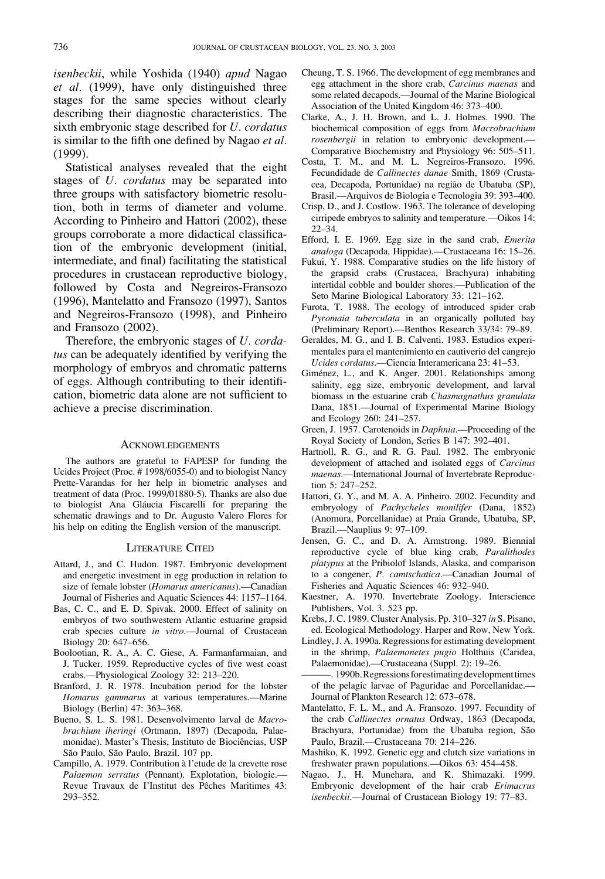isenbeckii, while Yoshida (1940) apud Nagao et al. (1999), have only distinguished three stages for the same species without clearly describing their diagnostic characteristics. The sixth embryonic stage described for U. cordatus is similar to the fifth one defined by Nagao et al. (1999).

Statistical analyses revealed that the eight stages of U. cordatus may be separated into three groups with satisfactory biometric resolution, both in terms of diameter and volume. According to Pinheiro and Hattori (2002), these groups corroborate a more didactical classification of the embryonic development (initial, intermediate, and final) facilitating the statistical procedures in crustacean reproductive biology, followed by Costa and Negreiros-Fransozo (1996), Mantelatto and Fransozo (1997), Santos and Negreiros-Fransozo (1998), and Pinheiro and Fransozo (2002).

Therefore, the embryonic stages of U. cordatus can be adequately identified by verifying the morphology of embryos and chromatic patterns of eggs. Although contributing to their identification, biometric data alone are not sufficient to achieve a precise discrimination.

## **ACKNOWLEDGEMENTS**

The authors are grateful to FAPESP for funding the Ucides Project (Proc. # 1998/6055-0) and to biologist Nancy Prette-Varandas for her help in biometric analyses and treatment of data (Proc. 1999/01880-5). Thanks are also due to biologist Ana Gláucia Fiscarelli for preparing the schematic drawings and to Dr. Augusto Valero Flores for his help on editing the English version of the manuscript.

### LITERATURE CITED

- Attard, J., and C. Hudon. 1987. Embryonic development and energetic investment in egg production in relation to size of female lobster (Homarus americanus).—Canadian Journal of Fisheries and Aquatic Sciences 44: 1157–1164.
- Bas, C. C., and E. D. Spivak. 2000. Effect of salinity on embryos of two southwestern Atlantic estuarine grapsid crab species culture in vitro.—Journal of Crustacean Biology 20: 647–656.
- Boolootian, R. A., A. C. Giese, A. Farmanfarmaian, and J. Tucker. 1959. Reproductive cycles of five west coast crabs.—Physiological Zoology 32: 213–220.
- Branford, J. R. 1978. Incubation period for the lobster Homarus gammarus at various temperatures.—Marine Biology (Berlin) 47: 363–368.
- Bueno, S. L. S. 1981. Desenvolvimento larval de Macrobrachium iheringi (Ortmann, 1897) (Decapoda, Palaemonidae). Master's Thesis, Instituto de Biociências, USP São Paulo, São Paulo, Brazil. 107 pp.
- Campillo, A. 1979. Contribution à l'etude de la crevette rose Palaemon serratus (Pennant). Explotation, biologie.— Revue Travaux de l'Institut des Pêches Maritimes 43: 293–352.
- Cheung, T. S. 1966. The development of egg membranes and egg attachment in the shore crab, Carcinus maenas and some related decapods.—Journal of the Marine Biological Association of the United Kingdom 46: 373–400.
- Clarke, A., J. H. Brown, and L. J. Holmes. 1990. The biochemical composition of eggs from Macrobrachium rosenbergii in relation to embryonic development.— Comparative Biochemistry and Physiology 96: 505–511.
- Costa, T. M., and M. L. Negreiros-Fransozo. 1996. Fecundidade de Callinectes danae Smith, 1869 (Crustacea, Decapoda, Portunidae) na região de Ubatuba (SP), Brasil.—Arquivos de Biologia e Tecnologia 39: 393–400.
- Crisp, D., and J. Costlow. 1963. The tolerance of developing cirripede embryos to salinity and temperature.—Oikos 14: 22–34.
- Efford, I. E. 1969. Egg size in the sand crab, Emerita analoga (Decapoda, Hippidae).—Crustaceana 16: 15–26.
- Fukui, Y. 1988. Comparative studies on the life history of the grapsid crabs (Crustacea, Brachyura) inhabiting intertidal cobble and boulder shores.—Publication of the Seto Marine Biological Laboratory 33: 121–162.
- Furota, T. 1988. The ecology of introduced spider crab Pyromaia tuberculata in an organically polluted bay (Preliminary Report).—Benthos Research 33/34: 79–89.
- Geraldes, M. G., and I. B. Calventi. 1983. Estudios experimentales para el mantenimiento en cautiverio del cangrejo Ucides cordatus.—Ciencia Interamericana 23: 41–53.
- Giménez, L., and K. Anger. 2001. Relationships among salinity, egg size, embryonic development, and larval biomass in the estuarine crab Chasmagnathus granulata Dana, 1851.—Journal of Experimental Marine Biology and Ecology 260: 241–257.
- Green, J. 1957. Carotenoids in Daphnia.—Proceeding of the Royal Society of London, Series B 147: 392–401.
- Hartnoll, R. G., and R. G. Paul. 1982. The embryonic development of attached and isolated eggs of Carcinus maenas.—International Journal of Invertebrate Reproduction 5: 247–252.
- Hattori, G. Y., and M. A. A. Pinheiro. 2002. Fecundity and embryology of Pachycheles monilifer (Dana, 1852) (Anomura, Porcellanidae) at Praia Grande, Ubatuba, SP, Brazil.—Nauplius 9: 97–109.
- Jensen, G. C., and D. A. Armstrong. 1989. Biennial reproductive cycle of blue king crab, Paralithodes platypus at the Pribiolof Islands, Alaska, and comparison to a congener, P. camtschatica.—Canadian Journal of Fisheries and Aquatic Sciences 46: 932–940.
- Kaestner, A. 1970. Invertebrate Zoology. Interscience Publishers, Vol. 3. 523 pp.
- Krebs, J. C. 1989. Cluster Analysis. Pp. 310–327 in S. Pisano, ed. Ecological Methodology. Harper and Row, New York.
- Lindley, J. A. 1990a. Regressions for estimating development in the shrimp, Palaemonetes pugio Holthuis (Caridea, Palaemonidae).—Crustaceana (Suppl. 2): 19–26.
- -. 1990b. Regressions for estimating development times of the pelagic larvae of Paguridae and Porcellanidae.— Journal of Plankton Research 12: 673–678.
- Mantelatto, F. L. M., and A. Fransozo. 1997. Fecundity of the crab Callinectes ornatus Ordway, 1863 (Decapoda, Brachyura, Portunidae) from the Ubatuba region, São Paulo, Brazil.—Crustaceana 70: 214–226.
- Mashiko, K. 1992. Genetic egg and clutch size variations in freshwater prawn populations.—Oikos 63: 454–458.
- Nagao, J., H. Munehara, and K. Shimazaki. 1999. Embryonic development of the hair crab Erimacrus isenbeckii.—Journal of Crustacean Biology 19: 77–83.